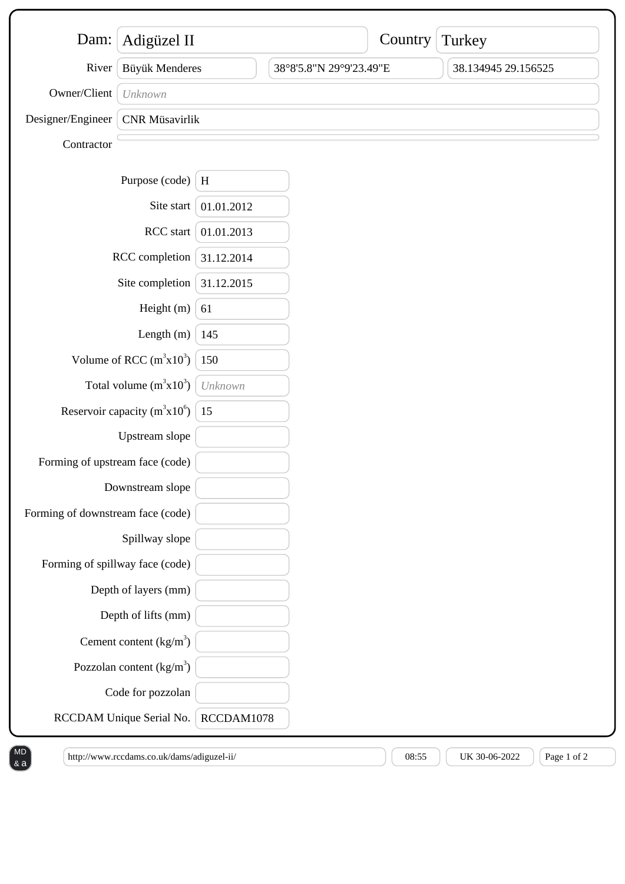| Dam:                                   | Adigüzel II                |            |                         | Country | Turkey              |
|----------------------------------------|----------------------------|------------|-------------------------|---------|---------------------|
| River                                  | Büyük Menderes             |            | 38°8'5.8"N 29°9'23.49"E |         | 38.134945 29.156525 |
| Owner/Client                           | Unknown                    |            |                         |         |                     |
| Designer/Engineer                      | <b>CNR</b> Müsavirlik      |            |                         |         |                     |
| Contractor                             |                            |            |                         |         |                     |
|                                        | Purpose (code)             | H          |                         |         |                     |
|                                        | Site start                 | 01.01.2012 |                         |         |                     |
| RCC start                              |                            | 01.01.2013 |                         |         |                     |
| RCC completion                         |                            | 31.12.2014 |                         |         |                     |
| Site completion                        |                            | 31.12.2015 |                         |         |                     |
| Height (m)                             |                            | 61         |                         |         |                     |
| Length $(m)$                           |                            | 145        |                         |         |                     |
| Volume of RCC $(m^3x10^3)$             |                            | 150        |                         |         |                     |
| Total volume $(m^3x10^3)$              |                            | Unknown    |                         |         |                     |
| Reservoir capacity ( $m^3x10^6$ )   15 |                            |            |                         |         |                     |
| Upstream slope                         |                            |            |                         |         |                     |
| Forming of upstream face (code)        |                            |            |                         |         |                     |
| Downstream slope                       |                            |            |                         |         |                     |
| Forming of downstream face (code)      |                            |            |                         |         |                     |
| Spillway slope                         |                            |            |                         |         |                     |
| Forming of spillway face (code)        |                            |            |                         |         |                     |
|                                        | Depth of layers (mm)       |            |                         |         |                     |
| Depth of lifts (mm)                    |                            |            |                         |         |                     |
|                                        | Cement content $(kg/m3)$   |            |                         |         |                     |
|                                        | Pozzolan content $(kg/m3)$ |            |                         |         |                     |
|                                        | Code for pozzolan          |            |                         |         |                     |
| RCCDAM Unique Serial No.               |                            | RCCDAM1078 |                         |         |                     |

http://www.rccdams.co.uk/dams/adiguzel-ii/  $08:55$  UK 30-06-2022 Page 1 of 2

& a